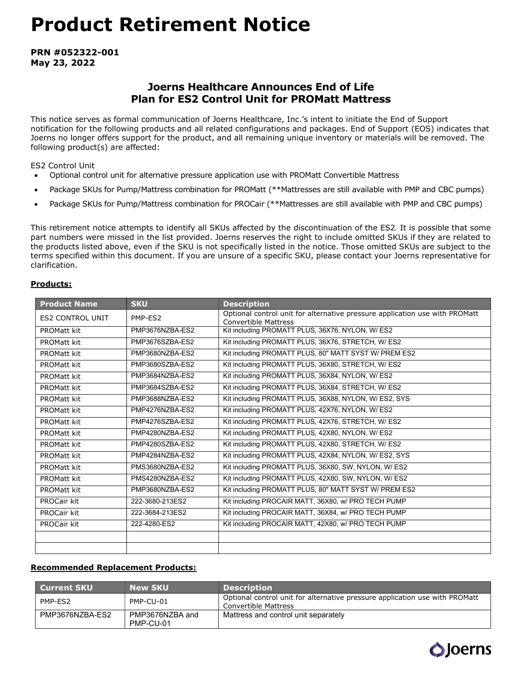# Product Retirement Notice

PRN #052322-001 May 23, 2022

# Joerns Healthcare Announces End of Life Plan for ES2 Control Unit for PROMatt Mattress

This notice serves as formal communication of Joerns Healthcare, Inc.'s intent to initiate the End of Support notification for the following products and all related configurations and packages. End of Support (EOS) indicates that Joerns no longer offers support for the product, and all remaining unique inventory or materials will be removed. The following product(s) are affected:

ES2 Control Unit

- Optional control unit for alternative pressure application use with PROMatt Convertible Mattress
- Package SKUs for Pump/Mattress combination for PROMatt (\*\*Mattresses are still available with PMP and CBC pumps)
- Package SKUs for Pump/Mattress combination for PROCair (\*\*Mattresses are still available with PMP and CBC pumps)

This retirement notice attempts to identify all SKUs affected by the discontinuation of the ES2. It is possible that some part numbers were missed in the list provided. Joerns reserves the right to include omitted SKUs if they are related to the products listed above, even if the SKU is not specifically listed in the notice. Those omitted SKUs are subject to the terms specified within this document. If you are unsure of a specific SKU, please contact your Joerns representative for clarification.

### Products:

| <b>Product Name</b>     | <b>SKU</b>      | <b>Description</b>                                                                                         |  |  |  |
|-------------------------|-----------------|------------------------------------------------------------------------------------------------------------|--|--|--|
| <b>ES2 CONTROL UNIT</b> | PMP-ES2         | Optional control unit for alternative pressure application use with PROMatt<br><b>Convertible Mattress</b> |  |  |  |
| PROMatt kit             | PMP3676NZBA-ES2 | Kit including PROMATT PLUS, 36X76, NYLON, W/ ES2                                                           |  |  |  |
| PROMatt kit             | PMP3676SZBA-ES2 | Kit including PROMATT PLUS, 36X76, STRETCH, W/ ES2                                                         |  |  |  |
| <b>PROMatt kit</b>      | PMP3680NZBA-ES2 | Kit including PROMATT PLUS, 80" MATT SYST W/ PREM ES2                                                      |  |  |  |
| <b>PROMatt kit</b>      | PMP3680SZBA-ES2 | Kit including PROMATT PLUS, 36X80, STRETCH, W/ ES2                                                         |  |  |  |
| <b>PROMatt kit</b>      | PMP3684NZBA-ES2 | Kit including PROMATT PLUS, 36X84, NYLON, W/ ES2                                                           |  |  |  |
| <b>PROMatt kit</b>      | PMP3684SZBA-ES2 | Kit including PROMATT PLUS, 36X84, STRETCH, W/ ES2                                                         |  |  |  |
| <b>PROMatt kit</b>      | PMP3688NZBA-ES2 | Kit including PROMATT PLUS, 36X88, NYLON, W/ ES2, SYS                                                      |  |  |  |
| PROMatt kit             | PMP4276NZBA-ES2 | Kit including PROMATT PLUS, 42X76, NYLON, W/ ES2                                                           |  |  |  |
| PROMatt kit             | PMP4276SZBA-ES2 | Kit including PROMATT PLUS, 42X76, STRETCH, W/ ES2                                                         |  |  |  |
| PROMatt kit             | PMP4280NZBA-ES2 | Kit including PROMATT PLUS, 42X80, NYLON, W/ ES2                                                           |  |  |  |
| <b>PROMatt kit</b>      | PMP4280SZBA-ES2 | Kit including PROMATT PLUS, 42X80, STRETCH, W/ ES2                                                         |  |  |  |
| <b>PROMatt kit</b>      | PMP4284NZBA-ES2 | Kit including PROMATT PLUS, 42X84, NYLON, W/ ES2, SYS                                                      |  |  |  |
| <b>PROMatt kit</b>      | PMS3680NZBA-ES2 | Kit including PROMATT PLUS, 36X80, SW, NYLON, W/ ES2                                                       |  |  |  |
| <b>PROMatt kit</b>      | PMS4280NZBA-ES2 | Kit including PROMATT PLUS, 42X80, SW, NYLON, W/ ES2                                                       |  |  |  |
| PROMatt kit             | PMP3680NZBA-ES2 | Kit including PROMATT PLUS, 80" MATT SYST W/ PREM ES2                                                      |  |  |  |
| PROCair kit             | 222-3680-213ES2 | Kit including PROCAIR MATT, 36X80, w/ PRO TECH PUMP                                                        |  |  |  |
| PROCair kit             | 222-3684-213ES2 | Kit including PROCAIR MATT, 36X84, w/ PRO TECH PUMP                                                        |  |  |  |
| <b>PROCair kit</b>      | 222-4280-ES2    | Kit including PROCAIR MATT, 42X80, w/ PRO TECH PUMP                                                        |  |  |  |
|                         |                 |                                                                                                            |  |  |  |
|                         |                 |                                                                                                            |  |  |  |

### Recommended Replacement Products:

| <b>Current SKU</b> | <b>New SKU</b>               | <b>Description</b>                                                                                  |
|--------------------|------------------------------|-----------------------------------------------------------------------------------------------------|
| PMP-ES2            | PMP-CU-01                    | Optional control unit for alternative pressure application use with PROMatt<br>Convertible Mattress |
| PMP3676NZBA-ES2    | PMP3676NZBA and<br>PMP-CU-01 | Mattress and control unit separately                                                                |

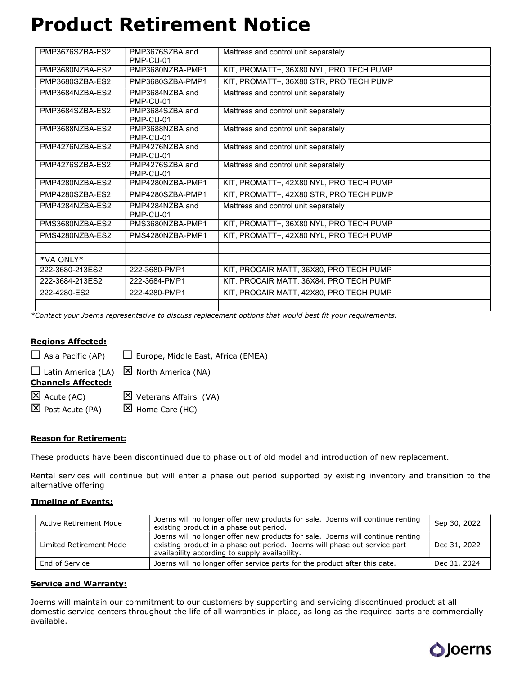# Product Retirement Notice

| PMP3676SZBA-ES2 | PMP3676SZBA and<br>PMP-CU-01 | Mattress and control unit separately    |
|-----------------|------------------------------|-----------------------------------------|
| PMP3680NZBA-ES2 | PMP3680NZBA-PMP1             | KIT, PROMATT+, 36X80 NYL, PRO TECH PUMP |
| PMP3680SZBA-ES2 | PMP3680SZBA-PMP1             | KIT, PROMATT+, 36X80 STR, PRO TECH PUMP |
| PMP3684NZBA-ES2 | PMP3684NZBA and<br>PMP-CU-01 | Mattress and control unit separately    |
| PMP3684SZBA-ES2 | PMP3684SZBA and<br>PMP-CU-01 | Mattress and control unit separately    |
| PMP3688NZBA-ES2 | PMP3688NZBA and<br>PMP-CU-01 | Mattress and control unit separately    |
| PMP4276NZBA-ES2 | PMP4276NZBA and<br>PMP-CU-01 | Mattress and control unit separately    |
| PMP4276SZBA-ES2 | PMP4276SZBA and<br>PMP-CU-01 | Mattress and control unit separately    |
| PMP4280NZBA-ES2 | PMP4280NZBA-PMP1             | KIT, PROMATT+, 42X80 NYL, PRO TECH PUMP |
| PMP4280SZBA-ES2 | PMP4280SZBA-PMP1             | KIT, PROMATT+, 42X80 STR, PRO TECH PUMP |
| PMP4284NZBA-ES2 | PMP4284NZBA and<br>PMP-CU-01 | Mattress and control unit separately    |
| PMS3680NZBA-ES2 | PMS3680NZBA-PMP1             | KIT, PROMATT+, 36X80 NYL, PRO TECH PUMP |
| PMS4280NZBA-ES2 | PMS4280NZBA-PMP1             | KIT, PROMATT+, 42X80 NYL, PRO TECH PUMP |
|                 |                              |                                         |
| *VA ONI Y*      |                              |                                         |
| 222-3680-213ES2 | 222-3680-PMP1                | KIT, PROCAIR MATT, 36X80, PRO TECH PUMP |
| 222-3684-213ES2 | 222-3684-PMP1                | KIT, PROCAIR MATT, 36X84, PRO TECH PUMP |
| 222-4280-ES2    | 222-4280-PMP1                | KIT, PROCAIR MATT, 42X80, PRO TECH PUMP |
|                 |                              |                                         |

\*Contact your Joerns representative to discuss replacement options that would best fit your requirements.

# Regions Affected:

 $\Box$  Asia Pacific (AP)  $\Box$  Europe, Middle East, Africa (EMEA)

 $\Box$  Latin America (LA)  $\boxtimes$  North America (NA) Channels Affected:  $\boxtimes$  Acute (AC)  $\boxtimes$  Veterans Affairs (VA)

 $\boxtimes$  Post Acute (PA)  $\boxtimes$  Home Care (HC)

# Reason for Retirement:

These products have been discontinued due to phase out of old model and introduction of new replacement.

Rental services will continue but will enter a phase out period supported by existing inventory and transition to the alternative offering

### Timeline of Events:

| Active Retirement Mode                                                                                                                                                                                                                     | Joerns will no longer offer new products for sale. Joerns will continue renting<br>existing product in a phase out period. | Sep 30, 2022 |
|--------------------------------------------------------------------------------------------------------------------------------------------------------------------------------------------------------------------------------------------|----------------------------------------------------------------------------------------------------------------------------|--------------|
| Joerns will no longer offer new products for sale. Joerns will continue renting<br>existing product in a phase out period. Joerns will phase out service part<br>Limited Retirement Mode<br>availability according to supply availability. |                                                                                                                            | Dec 31, 2022 |
| End of Service                                                                                                                                                                                                                             | Joerns will no longer offer service parts for the product after this date.                                                 | Dec 31, 2024 |

### Service and Warranty:

Joerns will maintain our commitment to our customers by supporting and servicing discontinued product at all domestic service centers throughout the life of all warranties in place, as long as the required parts are commercially available.